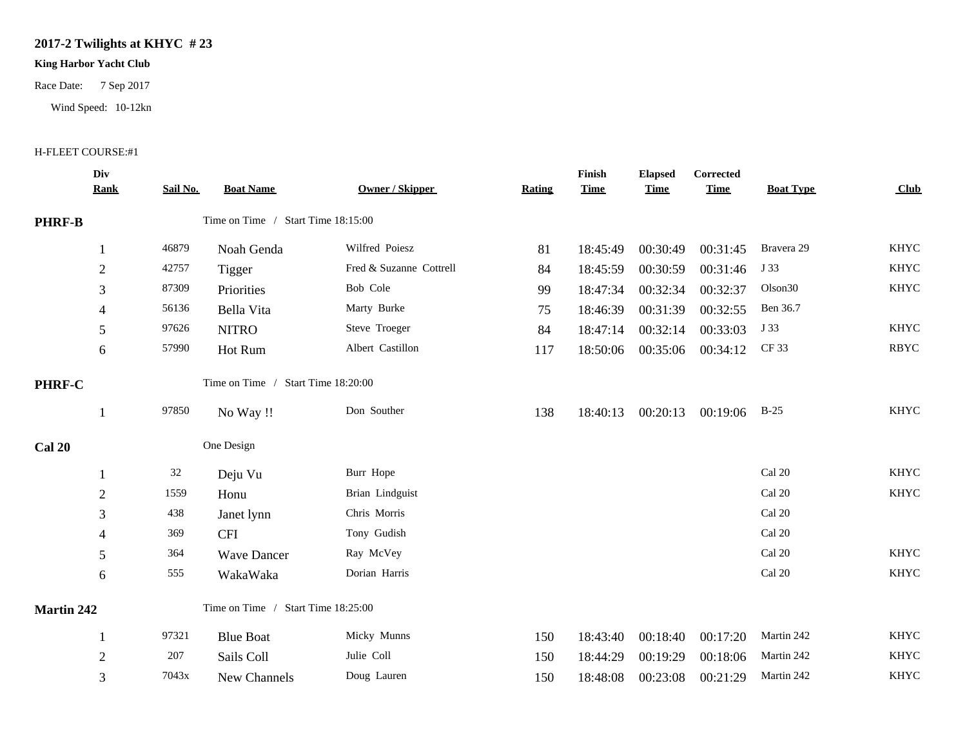## **2017-2 Twilights at KHYC # 23**

## **King Harbor Yacht Club**

Race Date: 7 Sep 2017

Wind Speed: 10-12kn

## H-FLEET COURSE:#1

|                   | Div<br><b>Rank</b> | Sail No. | <b>Boat Name</b>                   | <b>Owner / Skipper</b>  | Rating | Finish<br><b>Time</b> | <b>Elapsed</b><br><b>Time</b> | Corrected<br><b>Time</b> | <b>Boat Type</b>        | Club        |
|-------------------|--------------------|----------|------------------------------------|-------------------------|--------|-----------------------|-------------------------------|--------------------------|-------------------------|-------------|
| <b>PHRF-B</b>     |                    |          | Time on Time / Start Time 18:15:00 |                         |        |                       |                               |                          |                         |             |
|                   |                    | 46879    | Noah Genda                         | Wilfred Poiesz          | 81     | 18:45:49              | 00:30:49                      | 00:31:45                 | Bravera 29              | <b>KHYC</b> |
|                   | $\overline{2}$     | 42757    | Tigger                             | Fred & Suzanne Cottrell | 84     | 18:45:59              | 00:30:59                      | 00:31:46                 | J 33                    | <b>KHYC</b> |
|                   | 3                  | 87309    | Priorities                         | Bob Cole                | 99     | 18:47:34              | 00:32:34                      | 00:32:37                 | Olson <sub>30</sub>     | <b>KHYC</b> |
|                   | 4                  | 56136    | Bella Vita                         | Marty Burke             | 75     | 18:46:39              | 00:31:39                      | 00:32:55                 | Ben 36.7                |             |
|                   | 5                  | 97626    | <b>NITRO</b>                       | Steve Troeger           | 84     | 18:47:14              | 00:32:14                      | 00:33:03                 | J 33                    | <b>KHYC</b> |
|                   | 6                  | 57990    | Hot Rum                            | Albert Castillon        | 117    | 18:50:06              | 00:35:06                      | 00:34:12                 | CF 33                   | <b>RBYC</b> |
| PHRF-C            |                    |          | Time on Time / Start Time 18:20:00 |                         |        |                       |                               |                          |                         |             |
|                   |                    | 97850    | No Way !!                          | Don Souther             | 138    | 18:40:13              | 00:20:13                      | 00:19:06                 | $B-25$                  | <b>KHYC</b> |
| <b>Cal 20</b>     |                    |          | One Design                         |                         |        |                       |                               |                          |                         |             |
|                   |                    | 32       | Deju Vu                            | Burr Hope               |        |                       |                               |                          | Cal 20                  | <b>KHYC</b> |
|                   | $\overline{2}$     | 1559     | Honu                               | Brian Lindguist         |        |                       |                               |                          | Cal 20                  | <b>KHYC</b> |
|                   | 3                  | 438      | Janet lynn                         | Chris Morris            |        |                       |                               |                          | Cal 20                  |             |
|                   | 4                  | 369      | <b>CFI</b>                         | Tony Gudish             |        |                       |                               |                          | Cal 20                  |             |
|                   | 5                  | 364      | <b>Wave Dancer</b>                 | Ray McVey               |        |                       |                               |                          | $\operatorname{Cal}$ 20 | <b>KHYC</b> |
|                   | 6                  | 555      | WakaWaka                           | Dorian Harris           |        |                       |                               |                          | Cal 20                  | <b>KHYC</b> |
| <b>Martin 242</b> |                    |          | Time on Time / Start Time 18:25:00 |                         |        |                       |                               |                          |                         |             |
|                   |                    | 97321    | <b>Blue Boat</b>                   | Micky Munns             | 150    | 18:43:40              | 00:18:40                      | 00:17:20                 | Martin 242              | <b>KHYC</b> |
|                   | $\boldsymbol{2}$   | 207      | Sails Coll                         | Julie Coll              | 150    | 18:44:29              | 00:19:29                      | 00:18:06                 | Martin 242              | <b>KHYC</b> |
|                   | 3                  | 7043x    | New Channels                       | Doug Lauren             | 150    | 18:48:08              | 00:23:08                      | 00:21:29                 | Martin 242              | <b>KHYC</b> |